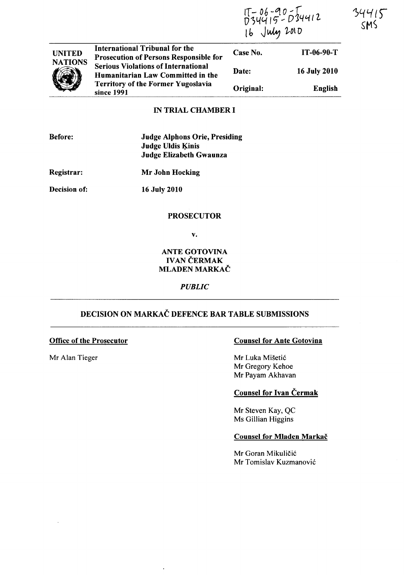$17 - 06 - 90 - 74412$ 16 July 2010

34415 SMS

|                | Humanitarian Law Committed in the<br><b>Territory of the Former Yugoslavia</b><br>since 1991 | Original: | English      |
|----------------|----------------------------------------------------------------------------------------------|-----------|--------------|
| <b>NATIONS</b> | <b>Serious Violations of International</b>                                                   | Date:     | 16 July 2010 |
| <b>UNITED</b>  | International Tribunal for the<br><b>Prosecution of Persons Responsible for</b>              | Case No.  | $IT-06-90-T$ |

# IN TRIAL CHAMBER I

| Before <sup>.</sup> |
|---------------------|
|---------------------|

Judge Alphons Orie, Presiding Judge Uldis Ķinis Judge Elizabeth Gwaunza

Registrar:

Mr John Hocking

Decision of:

16 July 2010

### **PROSECUTOR**

v.

### ANTE GOTOVINA **IVAN ČERMAK** MLADEN MARKAČ

#### *PUBLIC*

# DECISION ON MARKAC DEFENCE BAR TABLE SUBMISSIONS

### Office of the Prosecutor

Mr Alan Tieger

### Counsel for Ante Gotovina

Mr Luka Mišetić Mr Gregory Kehoe Mr Payam Akhavan

# Counsel for Ivan Čermak

Mr Steven Kay, QC Ms GilIian Higgins

#### Counsel for Mladen Markač

Mr Goran Mikuličić Mr Tomislav Kuzmanovi6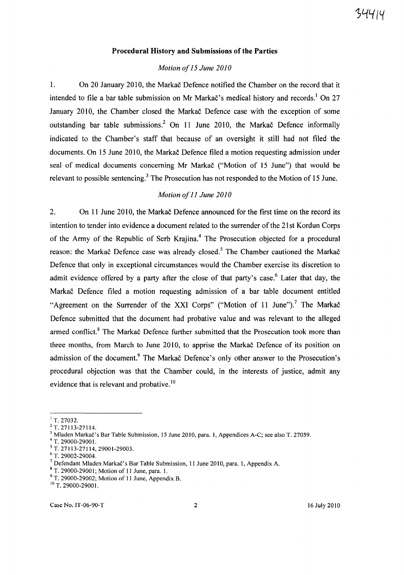#### **Procedural History and Submissions of the Parties**

#### *Motion of* 15 *June 2010*

1. On 20 January 2010, the Markac Defence notified the Chamber on the record that it intended to file a bar table submission on Mr Markač's medical history and records.<sup>1</sup> On 27 January 2010, the Chamber closed the Markač Defence case with the exception of some outstanding bar table submissions.2 On **11** June 2010, the Markac Defence informally indicated to the Chamber's staff that because of an oversight it still had not filed the documents. On 15 June 2010, the Markac Defence filed a motion requesting admission under seal of medical documents concerning Mr Markac ("Motion of 15 June") that would be relevant to possible sentencing.<sup>3</sup> The Prosecution has not responded to the Motion of 15 June.

### *Motion of* 11 *June 2010*

2. On **11** June 2010, the Markac Defence announced for the first time on the record its intention to tender into evidence a document related to the surrender of the 21st Kordun Corps of the Army of the Republic of Serb Krajina.<sup>4</sup> The Prosecution objected for a procedural reason: the Markac Defence case was already closed.<sup>5</sup> The Chamber cautioned the Markac Defence that only in exceptional circumstances would the Chamber exercise its discretion to admit evidence offered by a party after the close of that party's case.<sup>6</sup> Later that day, the Markac Defence filed a motion requesting admission of a bar table document entitled "Agreement on the Surrender of the XXI Corps" ("Motion of 11 June").<sup>7</sup> The Markac Defence submitted that the document had probative value and was relevant to the alleged armed conflict.<sup>8</sup> The Markač Defence further submitted that the Prosecution took more than three months, from March to June 2010, to apprise the Markac Defence of its position on admission of the document.<sup>9</sup> The Markac Defence's only other answer to the Prosecution's procedural objection was that the Chamber could, in the interests of justice, admit any evidence that is relevant and probative.<sup>10</sup>

 $1$  T. 27032.

<sup>2</sup>T. 27113-27114.

<sup>&</sup>lt;sup>3</sup> Mladen Markač's Bar Table Submission, 15 June 2010, para. 1, Appendices A-C; see also T. 27059.

<sup>4</sup> T. 29000-29001.

<sup>5</sup> T. 27113-27114,29001-29003.

 $6$  T. 29002-29004.

 $^7$  Defendant Mladen Markač's Bar Table Submission, 11 June 2010, para. 1, Appendix A.

<sup>8</sup> T. 29000-29001; Motion of 11 June, para. I.

<sup>&</sup>lt;sup>9</sup> T. 29000-29002; Motion of 11 June, Appendix B.

<sup>&</sup>lt;sup>10</sup> T. 29000-29001.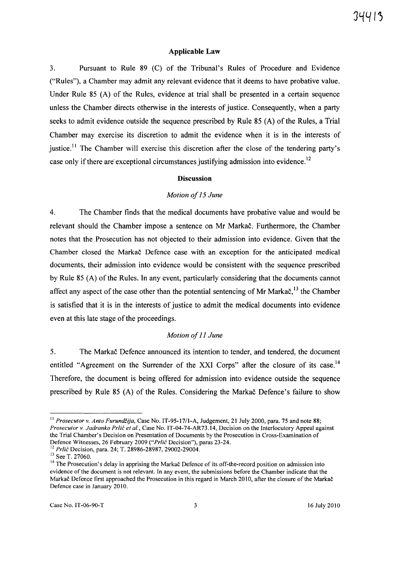#### **Applicable Law**

3. Pursuant to Rule 89 (C) of the Tribunal's Rules of Procedure and Evidence ("Rules"), a Chamber may admit any relevant evidence that it deems to have probative value. Under Rule 85 (A) of the Rules, evidence at trial shall be presented in a certain sequence unless the Chamber directs otherwise in the interests of justice. Consequently, when a party seeks to admit evidence outside the sequence prescribed by Rule 85 (A) of the Rules, a Trial Chamber may exercise its discretion to admit the evidence when it is in the interests of justice.<sup>11</sup> The Chamber will exercise this discretion after the close of the tendering party's case only if there are exceptional circumstances justifying admission into evidence.<sup>12</sup>

#### **Discussion**

#### *Motion of* 15 *June*

4. The Chamber finds that the medical documents have probative value and would be relevant should the Chamber impose a sentence on Mr Markac. Furthermore, the Chamber notes that the Prosecution has not objected to their admission into evidence. Given that the Chamber closed the Markac Defence case with an exception for the anticipated medical documents, their admission into evidence would be consistent with the sequence prescribed by Rule 85 (A) of the Rules. In any event, particularly considering that the documents cannot affect any aspect of the case other than the potential sentencing of Mr Marka $\check{c}$ ,<sup>13</sup> the Chamber is satisfied that it is in the interests of justice to admit the medical documents into evidence even at this late stage of the proceedings.

#### *Motion of* 11 *June*

5. The Markac Defence announced its intention to tender, and tendered, the document entitled "Agreement on the Surrender of the XXI Corps" after the closure of its case.<sup>14</sup> Therefore, the document is being offered for admission into evidence outside the sequence prescribed by Rule 85 (A) of the Rules. Considering the Markac Defence's failure to show

<sup>&</sup>lt;sup>11</sup> *Prosecutor v. Anto Furundžija*, Case No. IT-95-17/1-A, Judgement, 21 July 2000, para. 75 and note 88; *Prosecutor* v. *Jadranko Prlic et al.,* Case No. IT-04-74-AR73.14, Decision on the Interlocutory Appeal against the Trial Chamber's Decision on Presentation of Documents by the Prosecution in Cross-Examination of Defence Witnesses, 26 February 2009 *("Prlic* Decision"), paras 23-24.

<sup>12</sup>*Prlic* Decision, para. 24; T. 28986-28987, 29002-29004.

<sup>&</sup>lt;sup>13</sup> See T. 27060.

<sup>&</sup>lt;sup>14</sup> The Prosecution's delay in apprising the Markač Defence of its off-the-record position on admission into evidence of the document is not relevant. In any event, the submissions before the Chamber indicate that the Markac Defence first approached the Prosecution in this regard in March 2010, after the closure of the Markac Defence case in January 2010.